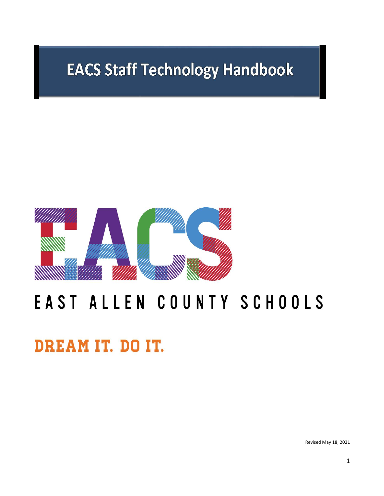# **EACS Staff Technology Handbook**



# EAST ALLEN COUNTY SCHOOLS

DREAM IT. DO IT.

Revised May 18, 2021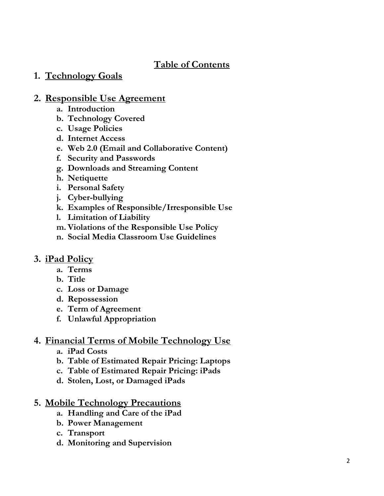# **Table of Contents**

# **1. Technology Goals**

# **2. Responsible Use Agreement**

- **a. Introduction**
- **b. Technology Covered**
- **c. Usage Policies**
- **d. Internet Access**
- **e. Web 2.0 (Email and Collaborative Content)**
- **f. Security and Passwords**
- **g. Downloads and Streaming Content**
- **h. Netiquette**
- **i. Personal Safety**
- **j. Cyber -bullying**
- **k. Examples of Responsible/Irresponsible Use**
- **l. Limitation of Liability**
- **m. Violations of the Responsible Use Policy**
- **n. Social Media Classroom Use Guidelines**

# **3. iPad Policy**

- **a. Terms**
- **b. Title**
- **c. Loss or Damage**
- **d. Repossession**
- **e. Term of Agreement**
- **f. Unlawful Appropriation**

# **4. Financial Terms of Mobile Technology Use**

- **a. iPad Costs**
- **b. Table of Estimated Repair Pricing: Laptops**
- **c. Table of Estimated Repair Pricing: iPads**
- **d. Stolen, Lost, or Damaged iPads**

# **5. Mobile Technology Precautions**

- **a. Handling and Care of the iPad**
- **b. Power Management**
- **c. Transport**
- **d. Monitoring and Supervision**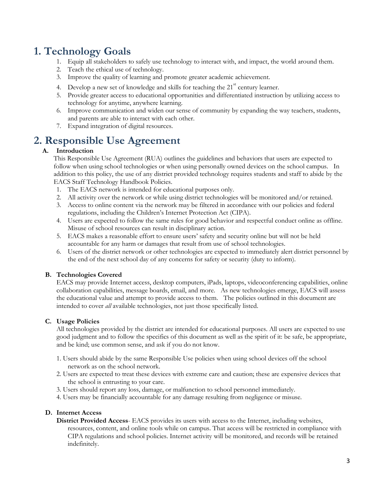# **1. Technology Goals**

- 1. Equip all stakeholders to safely use technology to interact with, and impact, the world around them.
- 2. Teach the ethical use of technology.
- 3. Improve the quality of learning and promote greater academic achievement.
- 4. Develop a new set of knowledge and skills for teaching the  $21<sup>st</sup>$  century learner.
- 5. Provide greater access to educational opportunities and differentiated instruction by utilizing access to technology for anytime, anywhere learning.
- 6. Improve communication and widen our sense of community by expanding the way teachers, students, and parents are able to interact with each other.
- 7. Expand integration of digital resources.

# **2. Responsible Use Agreement**

# **A. Introduction**

This Responsible Use Agreement (RUA) outlines the guidelines and behaviors that users are expected to follow when using school technologies or when using personally owned devices on the school campus. In addition to this policy, the use of any district provided technology requires students and staff to abide by the EACS Staff Technology Handbook Policies.

- 1. The EACS network is intended for educational purposes only.
- 2. All activity over the network or while using district technologies will be monitored and/or retained.
- 3. Access to online content via the network may be filtered in accordance with our policies and federal regulations, including the Children's Internet Protection Act (CIPA).
- 4. Users are expected to follow the same rules for good behavior and respectful conduct online as offline. Misuse of school resources can result in disciplinary action.
- 5. EACS makes a reasonable effort to ensure users' safety and security online but will not be held accountable for any harm or damages that result from use of school technologies.
- 6. Users of the district network or other technologies are expected to immediately alert district personnel by the end of the next school day of any concerns for safety or security (duty to inform).

# **B. Technologies Covered**

EACS may provide Internet access, desktop computers, iPads, laptops, videoconferencing capabilities, online collaboration capabilities, message boards, email, and more. As new technologies emerge, EACS will assess the educational value and attempt to provide access to them. The policies outlined in this document are intended to cover *all* available technologies, not just those specifically listed.

# **C. Usage Policies**

All technologies provided by the district are intended for educational purposes. All users are expected to use good judgment and to follow the specifics of this document as well as the spirit of it: be safe, be appropriate, and be kind; use common sense, and ask if you do not know.

- 1. Users should abide by the same Responsible Use policies when using school devices off the school network as on the school network.
- 2. Users are expected to treat these devices with extreme care and caution; these are expensive devices that the school is entrusting to your care.
- 3. Users should report any loss, damage, or malfunction to school personnel immediately.
- 4. Users may be financially accountable for any damage resulting from negligence or misuse.

# **D. Internet Access**

**District Provided Access**- EACS provides its users with access to the Internet, including websites, resources, content, and online tools while on campus. That access will be restricted in compliance with CIPA regulations and school policies. Internet activity will be monitored, and records will be retained indefinitely.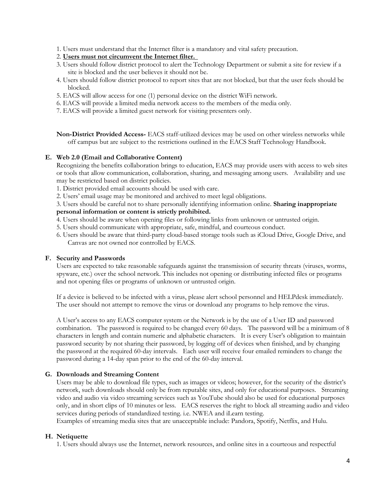1. Users must understand that the Internet filter is a mandatory and vital safety precaution.

#### 2. **Users must not circumvent the Internet filter.**

- 3. Users should follow district protocol to alert the Technology Department or submit a site for review if a site is blocked and the user believes it should not be.
- 4. Users should follow district protocol to report sites that are not blocked, but that the user feels should be blocked.
- 5. EACS will allow access for one (1) personal device on the district WiFi network.
- 6. EACS will provide a limited media network access to the members of the media only.
- 7. EACS will provide a limited guest network for visiting presenters only.

**Non-District Provided Access-** EACS staff-utilized devices may be used on other wireless networks while off campus but are subject to the restrictions outlined in the EACS Staff Technology Handbook.

#### **E. Web 2.0 (Email and Collaborative Content)**

Recognizing the benefits collaboration brings to education, EACS may provide users with access to web sites or tools that allow communication, collaboration, sharing, and messaging among users. Availability and use may be restricted based on district policies.

- 1. District provided email accounts should be used with care.
- 2. Users' email usage may be monitored and archived to meet legal obligations.

#### 3. Users should be careful not to share personally identifying information online. **Sharing inappropriate personal information or content is strictly prohibited.**

- 4. Users should be aware when opening files or following links from unknown or untrusted origin.
- 5. Users should communicate with appropriate, safe, mindful, and courteous conduct.
- 6. Users should be aware that third-party cloud-based storage tools such as iCloud Drive, Google Drive, and Canvas are not owned nor controlled by EACS.

# **F. Security and Passwords**

Users are expected to take reasonable safeguards against the transmission of security threats (viruses, worms, spyware, etc.) over the school network. This includes not opening or distributing infected files or programs and not opening files or programs of unknown or untrusted origin.

If a device is believed to be infected with a virus, please alert school personnel and HELPdesk immediately. The user should not attempt to remove the virus or download any programs to help remove the virus.

A User's access to any EACS computer system or the Network is by the use of a User ID and password combination. The password is required to be changed every 60 days. The password will be a minimum of 8 characters in length and contain numeric and alphabetic characters. It is every User's obligation to maintain password security by not sharing their password, by logging off of devices when finished, and by changing the password at the required 60-day intervals. Each user will receive four emailed reminders to change the password during a 14-day span prior to the end of the 60-day interval.

# **G. Downloads and Streaming Content**

Users may be able to download file types, such as images or videos; however, for the security of the district's network, such downloads should only be from reputable sites, and only for educational purposes. Streaming video and audio via video streaming services such as YouTube should also be used for educational purposes only, and in short clips of 10 minutes or less. EACS reserves the right to block all streaming audio and video services during periods of standardized testing. i.e. NWEA and iLearn testing.

Examples of streaming media sites that are unacceptable include: Pandora, Spotify, Netflix, and Hulu.

# **H. Netiquette**

1. Users should always use the Internet, network resources, and online sites in a courteous and respectful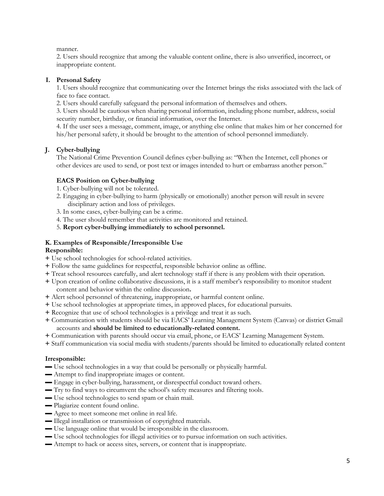manner.

2. Users should recognize that among the valuable content online, there is also unverified, incorrect, or inappropriate content.

# **I. Personal Safety**

1. Users should recognize that communicating over the Internet brings the risks associated with the lack of face to face contact.

2. Users should carefully safeguard the personal information of themselves and others.

3. Users should be cautious when sharing personal information, including phone number, address, social security number, birthday, or financial information, over the Internet.

4. If the user sees a message, comment, image, or anything else online that makes him or her concerned for his/her personal safety, it should be brought to the attention of school personnel immediately.

# **J. Cyber-bullying**

The National Crime Prevention Council defines cyber-bullying as: "When the Internet, cell phones or other devices are used to send, or post text or images intended to hurt or embarrass another person."

# **EACS Position on Cyber-bullying**

- 1. Cyber-bullying will not be tolerated.
- 2. Engaging in cyber-bullying to harm (physically or emotionally) another person will result in severe disciplinary action and loss of privileges.
- 3. In some cases, cyber-bullying can be a crime.
- 4. The user should remember that activities are monitored and retained.

5. **Report cyber-bullying immediately to school personnel.** 

# **K. Examples of Responsible/Irresponsible Use**

# **Responsible:**

- **+** Use school technologies for school-related activities.
- **+** Follow the same guidelines for respectful, responsible behavior online as offline.
- **+** Treat school resources carefully, and alert technology staff if there is any problem with their operation.
- **+** Upon creation of online collaborative discussions, it is a staff member's responsibility to monitor student content and behavior within the online discussion**.**
- **+** Alert school personnel of threatening, inappropriate, or harmful content online.
- **+** Use school technologies at appropriate times, in approved places, for educational pursuits.
- **+** Recognize that use of school technologies is a privilege and treat it as such.
- **+** Communication with students should be via EACS' Learning Management System (Canvas) or district Gmail accounts and **should be limited to educationally-related content.**
- **+** Communication with parents should occur via email, phone, or EACS' Learning Management System.
- **+** Staff communication via social media with students/parents should be limited to educationally related content

# **Irresponsible:**

- **▬** Use school technologies in a way that could be personally or physically harmful.
- $\blacksquare$  Attempt to find inappropriate images or content.
- **▬** Engage in cyber-bullying, harassment, or disrespectful conduct toward others.
- **▬** Try to find ways to circumvent the school's safety measures and filtering tools.
- **▬** Use school technologies to send spam or chain mail.
- **▬** Plagiarize content found online.
- $\blacksquare$  Agree to meet someone met online in real life.
- **▬** Illegal installation or transmission of copyrighted materials.
- **▬** Use language online that would be irresponsible in the classroom.
- **▬** Use school technologies for illegal activities or to pursue information on such activities.
- **▬** Attempt to hack or access sites, servers, or content that is inappropriate.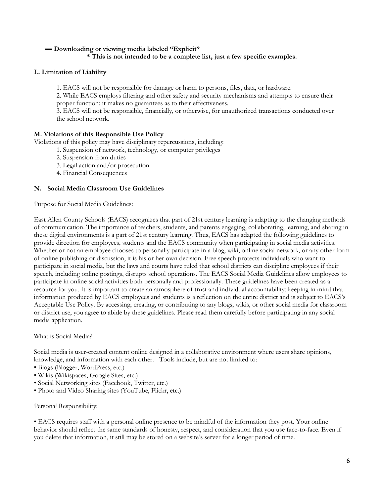# **▬ Downloading or viewing media labeled "Explicit"**

# **\* This is not intended to be a complete list, just a few specific examples.**

# **L. Limitation of Liability**

1. EACS will not be responsible for damage or harm to persons, files, data, or hardware.

2. While EACS employs filtering and other safety and security mechanisms and attempts to ensure their proper function; it makes no guarantees as to their effectiveness.

3. EACS will not be responsible, financially, or otherwise, for unauthorized transactions conducted over the school network.

#### **M. Violations of this Responsible Use Policy**

Violations of this policy may have disciplinary repercussions, including:

- 1. Suspension of network, technology, or computer privileges
	- 2. Suspension from duties
	- 3. Legal action and/or prosecution
	- 4. Financial Consequences

#### **N. Social Media Classroom Use Guidelines**

#### Purpose for Social Media Guidelines:

East Allen County Schools (EACS) recognizes that part of 21st century learning is adapting to the changing methods of communication. The importance of teachers, students, and parents engaging, collaborating, learning, and sharing in these digital environments is a part of 21st century learning. Thus, EACS has adapted the following guidelines to provide direction for employees, students and the EACS community when participating in social media activities. Whether or not an employee chooses to personally participate in a blog, wiki, online social network, or any other form of online publishing or discussion, it is his or her own decision. Free speech protects individuals who want to participate in social media, but the laws and courts have ruled that school districts can discipline employees if their speech, including online postings, disrupts school operations. The EACS Social Media Guidelines allow employees to participate in online social activities both personally and professionally. These guidelines have been created as a resource for you. It is important to create an atmosphere of trust and individual accountability; keeping in mind that information produced by EACS employees and students is a reflection on the entire district and is subject to EACS's Acceptable Use Policy. By accessing, creating, or contributing to any blogs, wikis, or other social media for classroom or district use, you agree to abide by these guidelines. Please read them carefully before participating in any social media application.

#### What is Social Media?

Social media is user-created content online designed in a collaborative environment where users share opinions, knowledge, and information with each other. Tools include, but are not limited to:

- Blogs (Blogger, WordPress, etc.)
- Wikis (Wikispaces, Google Sites, etc.)
- Social Networking sites (Facebook, Twitter, etc.)
- Photo and Video Sharing sites (YouTube, Flickr, etc.)

# Personal Responsibility:

• EACS requires staff with a personal online presence to be mindful of the information they post. Your online behavior should reflect the same standards of honesty, respect, and consideration that you use face-to-face. Even if you delete that information, it still may be stored on a website's server for a longer period of time.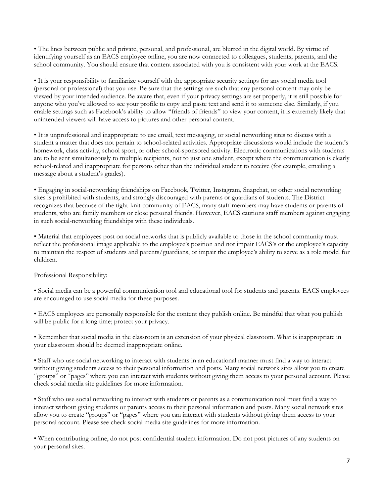• The lines between public and private, personal, and professional, are blurred in the digital world. By virtue of identifying yourself as an EACS employee online, you are now connected to colleagues, students, parents, and the school community. You should ensure that content associated with you is consistent with your work at the EACS.

• It is your responsibility to familiarize yourself with the appropriate security settings for any social media tool (personal or professional) that you use. Be sure that the settings are such that any personal content may only be viewed by your intended audience. Be aware that, even if your privacy settings are set properly, it is still possible for anyone who you've allowed to see your profile to copy and paste text and send it to someone else. Similarly, if you enable settings such as Facebook's ability to allow "friends of friends" to view your content, it is extremely likely that unintended viewers will have access to pictures and other personal content.

• It is unprofessional and inappropriate to use email, text messaging, or social networking sites to discuss with a student a matter that does not pertain to school-related activities. Appropriate discussions would include the student's homework, class activity, school sport, or other school-sponsored activity. Electronic communications with students are to be sent simultaneously to multiple recipients, not to just one student, except where the communication is clearly school-related and inappropriate for persons other than the individual student to receive (for example, emailing a message about a student's grades).

• Engaging in social-networking friendships on Facebook, Twitter, Instagram, Snapchat, or other social networking sites is prohibited with students, and strongly discouraged with parents or guardians of students. The District recognizes that because of the tight-knit community of EACS, many staff members may have students or parents of students, who are family members or close personal friends. However, EACS cautions staff members against engaging in such social-networking friendships with these individuals.

• Material that employees post on social networks that is publicly available to those in the school community must reflect the professional image applicable to the employee's position and not impair EACS's or the employee's capacity to maintain the respect of students and parents/guardians, or impair the employee's ability to serve as a role model for children.

# Professional Responsibility:

• Social media can be a powerful communication tool and educational tool for students and parents. EACS employees are encouraged to use social media for these purposes.

• EACS employees are personally responsible for the content they publish online. Be mindful that what you publish will be public for a long time; protect your privacy.

• Remember that social media in the classroom is an extension of your physical classroom. What is inappropriate in your classroom should be deemed inappropriate online.

• Staff who use social networking to interact with students in an educational manner must find a way to interact without giving students access to their personal information and posts. Many social network sites allow you to create "groups" or "pages" where you can interact with students without giving them access to your personal account. Please check social media site guidelines for more information.

• Staff who use social networking to interact with students or parents as a communication tool must find a way to interact without giving students or parents access to their personal information and posts. Many social network sites allow you to create "groups" or "pages" where you can interact with students without giving them access to your personal account. Please see check social media site guidelines for more information.

• When contributing online, do not post confidential student information. Do not post pictures of any students on your personal sites.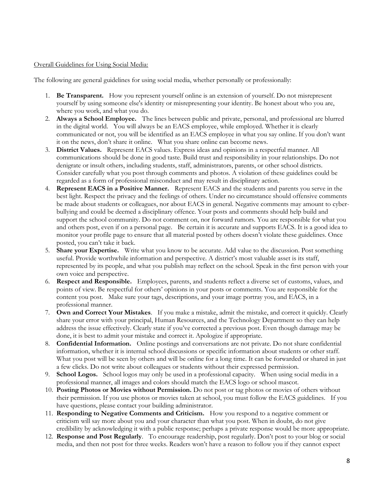#### Overall Guidelines for Using Social Media:

The following are general guidelines for using social media, whether personally or professionally:

- 1. **Be Transparent.** How you represent yourself online is an extension of yourself. Do not misrepresent yourself by using someone else's identity or misrepresenting your identity. Be honest about who you are, where you work, and what you do.
- 2. **Always a School Employee.** The lines between public and private, personal, and professional are blurred in the digital world. You will always be an EACS employee, while employed. Whether it is clearly communicated or not, you will be identified as an EACS employee in what you say online. If you don't want it on the news, don't share it online. What you share online can become news.
- 3. **District Values.** Represent EACS values. Express ideas and opinions in a respectful manner. All communications should be done in good taste. Build trust and responsibility in your relationships. Do not denigrate or insult others, including students, staff, administrators, parents, or other school districts. Consider carefully what you post through comments and photos. A violation of these guidelines could be regarded as a form of professional misconduct and may result in disciplinary action.
- 4. **Represent EACS in a Positive Manner.** Represent EACS and the students and parents you serve in the best light. Respect the privacy and the feelings of others. Under no circumstance should offensive comments be made about students or colleagues, nor about EACS in general. Negative comments may amount to cyberbullying and could be deemed a disciplinary offence. Your posts and comments should help build and support the school community. Do not comment on, nor forward rumors. You are responsible for what you and others post, even if on a personal page. Be certain it is accurate and supports EACS. It is a good idea to monitor your profile page to ensure that all material posted by others doesn't violate these guidelines. Once posted, you can't take it back.
- 5. **Share your Expertise.** Write what you know to be accurate. Add value to the discussion. Post something useful. Provide worthwhile information and perspective. A district's most valuable asset is its staff, represented by its people, and what you publish may reflect on the school. Speak in the first person with your own voice and perspective.
- 6. **Respect and Responsible.** Employees, parents, and students reflect a diverse set of customs, values, and points of view. Be respectful for others' opinions in your posts or comments. You are responsible for the content you post. Make sure your tags, descriptions, and your image portray you, and EACS, in a professional manner.
- 7. **Own and Correct Your Mistakes**. If you make a mistake, admit the mistake, and correct it quickly. Clearly share your error with your principal, Human Resources, and the Technology Department so they can help address the issue effectively. Clearly state if you've corrected a previous post. Even though damage may be done, it is best to admit your mistake and correct it. Apologize if appropriate.
- 8. **Confidential Information.** Online postings and conversations are not private. Do not share confidential information, whether it is internal school discussions or specific information about students or other staff. What you post will be seen by others and will be online for a long time. It can be forwarded or shared in just a few clicks. Do not write about colleagues or students without their expressed permission.
- 9. **School Logos.** School logos may only be used in a professional capacity. When using social media in a professional manner, all images and colors should match the EACS logo or school mascot.
- 10. **Posting Photos or Movies without Permission.** Do not post or tag photos or movies of others without their permission. If you use photos or movies taken at school, you must follow the EACS guidelines. If you have questions, please contact your building administrator.
- 11. **Responding to Negative Comments and Criticism.** How you respond to a negative comment or criticism will say more about you and your character than what you post. When in doubt, do not give credibility by acknowledging it with a public response; perhaps a private response would be more appropriate.
- 12. **Response and Post Regularly**. To encourage readership, post regularly. Don't post to your blog or social media, and then not post for three weeks. Readers won't have a reason to follow you if they cannot expect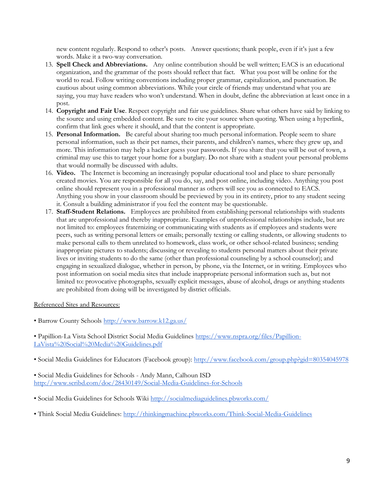new content regularly. Respond to other's posts. Answer questions; thank people, even if it's just a few words. Make it a two-way conversation.

- 13. **Spell Check and Abbreviations.** Any online contribution should be well written; EACS is an educational organization, and the grammar of the posts should reflect that fact. What you post will be online for the world to read. Follow writing conventions including proper grammar, capitalization, and punctuation. Be cautious about using common abbreviations. While your circle of friends may understand what you are saying, you may have readers who won't understand. When in doubt, define the abbreviation at least once in a post.
- 14. **Copyright and Fair Use**. Respect copyright and fair use guidelines. Share what others have said by linking to the source and using embedded content. Be sure to cite your source when quoting. When using a hyperlink, confirm that link goes where it should, and that the content is appropriate.
- 15. **Personal Information.** Be careful about sharing too much personal information. People seem to share personal information, such as their pet names, their parents, and children's names, where they grew up, and more. This information may help a hacker guess your passwords. If you share that you will be out of town, a criminal may use this to target your home for a burglary. Do not share with a student your personal problems that would normally be discussed with adults.
- 16. **Video.** The Internet is becoming an increasingly popular educational tool and place to share personally created movies. You are responsible for all you do, say, and post online, including video. Anything you post online should represent you in a professional manner as others will see you as connected to EACS. Anything you show in your classroom should be previewed by you in its entirety, prior to any student seeing it. Consult a building administrator if you feel the content may be questionable.
- 17. **Staff-Student Relations.** Employees are prohibited from establishing personal relationships with students that are unprofessional and thereby inappropriate. Examples of unprofessional relationships include, but are not limited to: employees fraternizing or communicating with students as if employees and students were peers, such as writing personal letters or emails; personally texting or calling students, or allowing students to make personal calls to them unrelated to homework, class work, or other school-related business; sending inappropriate pictures to students; discussing or revealing to students personal matters about their private lives or inviting students to do the same (other than professional counseling by a school counselor); and engaging in sexualized dialogue, whether in person, by phone, via the Internet, or in writing. Employees who post information on social media sites that include inappropriate personal information such as, but not limited to: provocative photographs, sexually explicit messages, abuse of alcohol, drugs or anything students are prohibited from doing will be investigated by district officials.

Referenced Sites and Resources:

• Barrow County Schools <http://www.barrow.k12.ga.us/>

• Papillion-La Vista School District Social Media Guidelines [https://www.nspra.org/files/Papillion-](https://www.nspra.org/files/Papillion-LaVista%20Social%20Media%20Guidelines.pdf)[LaVista%20Social%20Media%20Guidelines.pdf](https://www.nspra.org/files/Papillion-LaVista%20Social%20Media%20Guidelines.pdf)

• Social Media Guidelines for Educators (Facebook group):<http://www.facebook.com/group.php?gid=80354045978>

• Social Media Guidelines for Schools - Andy Mann, Calhoun ISD <http://www.scribd.com/doc/28430149/Social-Media-Guidelines-for-Schools>

- Social Media Guidelines for Schools Wiki <http://socialmediaguidelines.pbworks.com/>
- Think Social Media Guidelines: <http://thinkingmachine.pbworks.com/Think-Social-Media-Guidelines>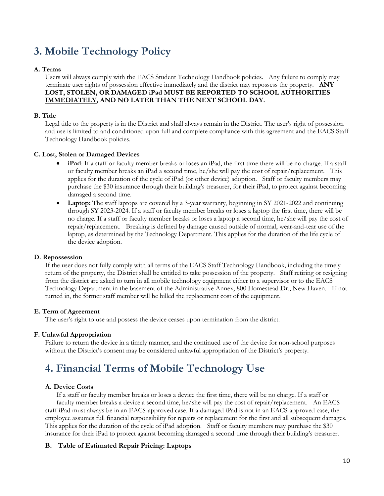# **3. Mobile Technology Policy**

# **A. Terms**

Users will always comply with the EACS Student Technology Handbook policies. Any failure to comply may terminate user rights of possession effective immediately and the district may repossess the property. **ANY LOST, STOLEN, OR DAMAGED iPad MUST BE REPORTED TO SCHOOL AUTHORITIES IMMEDIATELY, AND NO LATER THAN THE NEXT SCHOOL DAY.**

# **B. Title**

Legal title to the property is in the District and shall always remain in the District. The user's right of possession and use is limited to and conditioned upon full and complete compliance with this agreement and the EACS Staff Technology Handbook policies.

# **C. Lost, Stolen or Damaged Devices**

- **iPad**: If a staff or faculty member breaks or loses an iPad, the first time there will be no charge. If a staff or faculty member breaks an iPad a second time, he/she will pay the cost of repair/replacement. This applies for the duration of the cycle of iPad (or other device) adoption. Staff or faculty members may purchase the \$30 insurance through their building's treasurer, for their iPad, to protect against becoming damaged a second time.
- **Laptop:** The staff laptops are covered by a 3-year warranty, beginning in SY 2021-2022 and continuing through SY 2023-2024. If a staff or faculty member breaks or loses a laptop the first time, there will be no charge. If a staff or faculty member breaks or loses a laptop a second time, he/she will pay the cost of repair/replacement. Breaking is defined by damage caused outside of normal, wear-and-tear use of the laptop, as determined by the Technology Department. This applies for the duration of the life cycle of the device adoption.

# **D. Repossession**

If the user does not fully comply with all terms of the EACS Staff Technology Handbook, including the timely return of the property, the District shall be entitled to take possession of the property. Staff retiring or resigning from the district are asked to turn in all mobile technology equipment either to a supervisor or to the EACS Technology Department in the basement of the Administrative Annex, 800 Homestead Dr., New Haven. If not turned in, the former staff member will be billed the replacement cost of the equipment.

# **E. Term of Agreement**

The user's right to use and possess the device ceases upon termination from the district.

# **F. Unlawful Appropriation**

Failure to return the device in a timely manner, and the continued use of the device for non-school purposes without the District's consent may be considered unlawful appropriation of the District's property.

# **4. Financial Terms of Mobile Technology Use**

# **A. Device Costs**

If a staff or faculty member breaks or loses a device the first time, there will be no charge. If a staff or faculty member breaks a device a second time, he/she will pay the cost of repair/replacement. An EACS staff iPad must always be in an EACS-approved case. If a damaged iPad is not in an EACS-approved case, the employee assumes full financial responsibility for repairs or replacement for the first and all subsequent damages. This applies for the duration of the cycle of iPad adoption. Staff or faculty members may purchase the \$30 insurance for their iPad to protect against becoming damaged a second time through their building's treasurer.

# **B. Table of Estimated Repair Pricing: Laptops**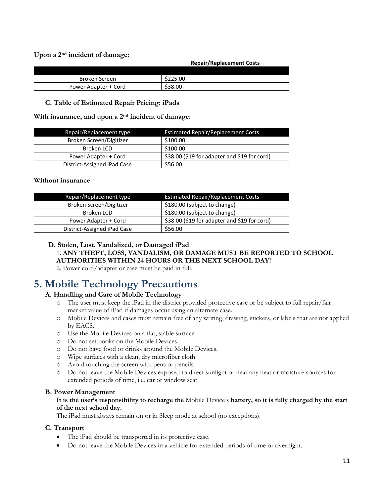**Upon a 2nd incident of damage:**

**Repair/Replacement Costs** 

| Broken Screen        | \$225.00 |
|----------------------|----------|
| Power Adapter + Cord | \$38.00  |

# **C. Table of Estimated Repair Pricing: iPads**

**With insurance, and upon a 2nd incident of damage:**

| Repair/Replacement type     | Estimated Repair/Replacement Costs           |
|-----------------------------|----------------------------------------------|
| Broken Screen/Digitizer     | \$100.00                                     |
| Broken LCD                  | \$100.00                                     |
| Power Adapter + Cord        | \$38.00 (\$19 for adapter and \$19 for cord) |
| District-Assigned iPad Case | \$56.00                                      |

# **Without insurance**

| Repair/Replacement type     | <b>Estimated Repair/Replacement Costs</b>    |
|-----------------------------|----------------------------------------------|
| Broken Screen/Digitizer     | \$180.00 (subject to change)                 |
| Broken LCD                  | \$180.00 (subject to change)                 |
| Power Adapter + Cord        | \$38.00 (\$19 for adapter and \$19 for cord) |
| District-Assigned iPad Case | \$56.00                                      |

#### **D. Stolen, Lost, Vandalized, or Damaged iPad**

1. **ANY THEFT, LOSS, VANDALISM, OR DAMAGE MUST BE REPORTED TO SCHOOL AUTHORITIES WITHIN 24 HOURS OR THE NEXT SCHOOL DAY!**

2. Power cord/adapter or case must be paid in full.

# **5. Mobile Technology Precautions**

# **A. Handling and Care of Mobile Technology**

- o The user must keep the iPad in the district provided protective case or be subject to full repair/fair market value of iPad if damages occur using an alternate case.
- o Mobile Devices and cases must remain free of any writing, drawing, stickers, or labels that are not applied by EACS.
- o Use the Mobile Devices on a flat, stable surface.
- o Do not set books on the Mobile Devices.
- o Do not have food or drinks around the Mobile Devices.
- o Wipe surfaces with a clean, dry microfiber cloth.
- o Avoid touching the screen with pens or pencils.
- o Do not leave the Mobile Devices exposed to direct sunlight or near any heat or moisture sources for extended periods of time, i.e. car or window seat.

# **B. Power Management**

# **It is the user's responsibility to recharge the** Mobile Device's **battery, so it is fully charged by the start of the next school day.**

The iPad must always remain on or in Sleep mode at school (no exceptions).

# **C. Transport**

- The iPad should be transported in its protective case.
- Do not leave the Mobile Devices in a vehicle for extended periods of time or overnight.